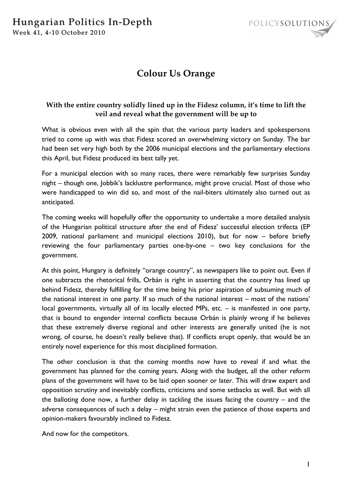

# **Colour Us Orange**

# **With the entire country solidly lined up in the Fidesz column, it's time to lift the veil and reveal what the government will be up to**

What is obvious even with all the spin that the various party leaders and spokespersons tried to come up with was that Fidesz scored an overwhelming victory on Sunday. The bar had been set very high both by the 2006 municipal elections and the parliamentary elections this April, but Fidesz produced its best tally yet.

For a municipal election with so many races, there were remarkably few surprises Sunday night – though one, Jobbik's lacklustre performance, might prove crucial. Most of those who were handicapped to win did so, and most of the nail-biters ultimately also turned out as anticipated.

The coming weeks will hopefully offer the opportunity to undertake a more detailed analysis of the Hungarian political structure after the end of Fidesz' successful election trifecta (EP 2009, national parliament and municipal elections 2010), but for now – before briefly reviewing the four parliamentary parties one-by-one – two key conclusions for the government.

At this point, Hungary is definitely "orange country", as newspapers like to point out. Even if one subtracts the rhetorical frills, Orbán is right in asserting that the country has lined up behind Fidesz, thereby fulfilling for the time being his prior aspiration of subsuming much of the national interest in one party. If so much of the national interest – most of the nations' local governments, virtually all of its locally elected MPs, etc. – is manifested in one party, that is bound to engender internal conflicts because Orbán is plainly wrong if he believes that these extremely diverse regional and other interests are generally united (he is not wrong, of course, he doesn't really believe that). If conflicts erupt openly, that would be an entirely novel experience for this most disciplined formation.

The other conclusion is that the coming months now have to reveal if and what the government has planned for the coming years. Along with the budget, all the other reform plans of the government will have to be laid open sooner or later. This will draw expert and opposition scrutiny and inevitably conflicts, criticisms and some setbacks as well. But with all the balloting done now, a further delay in tackling the issues facing the country – and the adverse consequences of such a delay – might strain even the patience of those experts and opinion-makers favourably inclined to Fidesz.

And now for the competitors.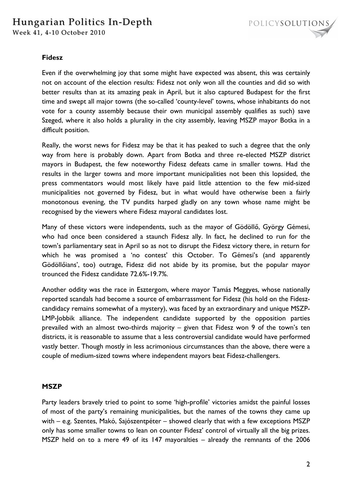# Hungarian Politics In-Depth

Week 41, 4-10 October 2010



#### **Fidesz**

Even if the overwhelming joy that some might have expected was absent, this was certainly not on account of the election results: Fidesz not only won all the counties and did so with better results than at its amazing peak in April, but it also captured Budapest for the first time and swept all major towns (the so-called 'county-level' towns, whose inhabitants do not vote for a county assembly because their own municipal assembly qualifies as such) save Szeged, where it also holds a plurality in the city assembly, leaving MSZP mayor Botka in a difficult position.

Really, the worst news for Fidesz may be that it has peaked to such a degree that the only way from here is probably down. Apart from Botka and three re-elected MSZP district mayors in Budapest, the few noteworthy Fidesz defeats came in smaller towns. Had the results in the larger towns and more important municipalities not been this lopsided, the press commentators would most likely have paid little attention to the few mid-sized municipalities not governed by Fidesz, but in what would have otherwise been a fairly monotonous evening, the TV pundits harped gladly on any town whose name might be recognised by the viewers where Fidesz mayoral candidates lost.

Many of these victors were independents, such as the mayor of Gödöllő, György Gémesi, who had once been considered a staunch Fidesz ally. In fact, he declined to run for the town's parliamentary seat in April so as not to disrupt the Fidesz victory there, in return for which he was promised a 'no contest' this October. To Gémesi's (and apparently Gödöllőians', too) outrage, Fidesz did not abide by its promise, but the popular mayor trounced the Fidesz candidate 72.6%-19.7%.

Another oddity was the race in Esztergom, where mayor Tamás Meggyes, whose nationally reported scandals had become a source of embarrassment for Fidesz (his hold on the Fideszcandidacy remains somewhat of a mystery), was faced by an extraordinary and unique MSZP-LMP-Jobbik alliance. The independent candidate supported by the opposition parties prevailed with an almost two-thirds majority – given that Fidesz won 9 of the town's ten districts, it is reasonable to assume that a less controversial candidate would have performed vastly better. Though mostly in less acrimonious circumstances than the above, there were a couple of medium-sized towns where independent mayors beat Fidesz-challengers.

### **MSZP**

Party leaders bravely tried to point to some 'high-profile' victories amidst the painful losses of most of the party's remaining municipalities, but the names of the towns they came up with – e.g. Szentes, Makó, Sajószentpéter – showed clearly that with a few exceptions MSZP only has some smaller towns to lean on counter Fidesz' control of virtually all the big prizes. MSZP held on to a mere 49 of its 147 mayoralties – already the remnants of the 2006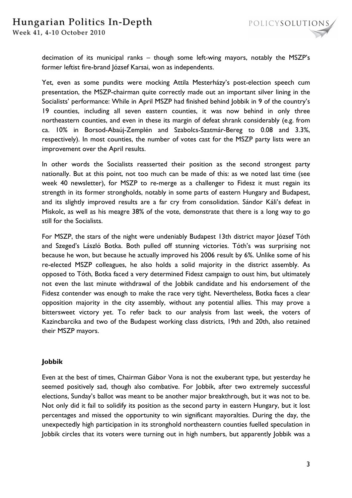decimation of its municipal ranks – though some left-wing mayors, notably the MSZP's former leftist fire-brand József Karsai, won as independents.

Yet, even as some pundits were mocking Attila Mesterházy's post-election speech cum presentation, the MSZP-chairman quite correctly made out an important silver lining in the Socialists' performance: While in April MSZP had finished behind Jobbik in 9 of the country's 19 counties, including all seven eastern counties, it was now behind in only three northeastern counties, and even in these its margin of defeat shrank considerably (e.g. from ca. 10% in Borsod-Abaúj-Zemplén and Szabolcs-Szatmár-Bereg to 0.08 and 3.3%, respectively). In most counties, the number of votes cast for the MSZP party lists were an improvement over the April results.

In other words the Socialists reasserted their position as the second strongest party nationally. But at this point, not too much can be made of this: as we noted last time (see week 40 newsletter), for MSZP to re-merge as a challenger to Fidesz it must regain its strength in its former strongholds, notably in some parts of eastern Hungary and Budapest, and its slightly improved results are a far cry from consolidation. Sándor Káli's defeat in Miskolc, as well as his meagre 38% of the vote, demonstrate that there is a long way to go still for the Socialists.

For MSZP, the stars of the night were undeniably Budapest 13th district mayor József Tóth and Szeged's László Botka. Both pulled off stunning victories. Tóth's was surprising not because he won, but because he actually improved his 2006 result by 6%. Unlike some of his re-elected MSZP colleagues, he also holds a solid majority in the district assembly. As opposed to Tóth, Botka faced a very determined Fidesz campaign to oust him, but ultimately not even the last minute withdrawal of the Jobbik candidate and his endorsement of the Fidesz contender was enough to make the race very tight. Nevertheless, Botka faces a clear opposition majority in the city assembly, without any potential allies. This may prove a bittersweet victory yet. To refer back to our analysis from last week, the voters of Kazincbarcika and two of the Budapest working class districts, 19th and 20th, also retained their MSZP mayors.

### **Jobbik**

Even at the best of times, Chairman Gábor Vona is not the exuberant type, but yesterday he seemed positively sad, though also combative. For Jobbik, after two extremely successful elections, Sunday's ballot was meant to be another major breakthrough, but it was not to be. Not only did it fail to solidify its position as the second party in eastern Hungary, but it lost percentages and missed the opportunity to win significant mayoralties. During the day, the unexpectedly high participation in its stronghold northeastern counties fuelled speculation in Jobbik circles that its voters were turning out in high numbers, but apparently Jobbik was a